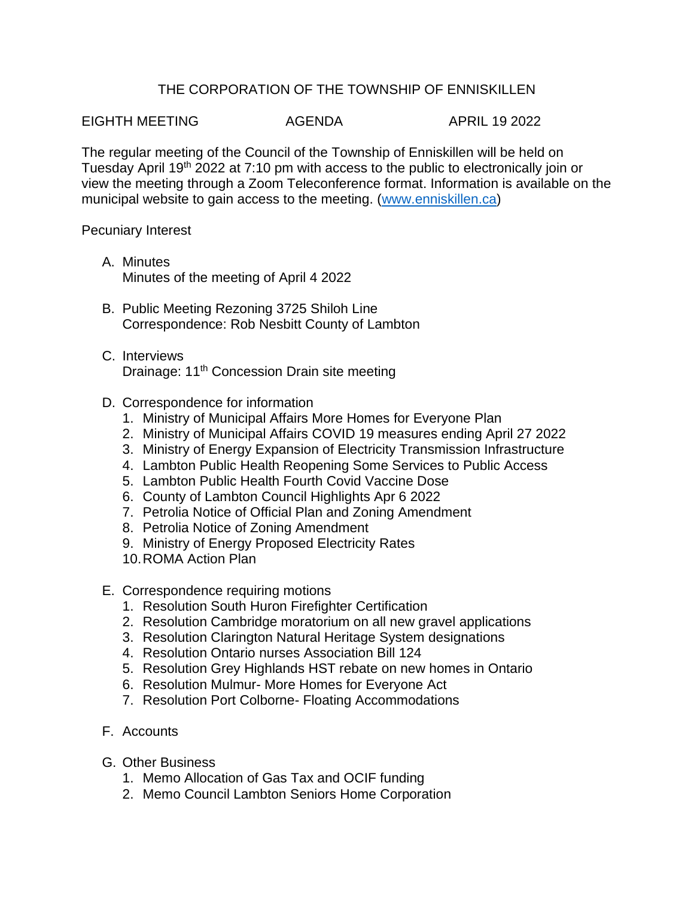## THE CORPORATION OF THE TOWNSHIP OF ENNISKILLEN

EIGHTH MEETING AGENDA APRIL 19 2022

The regular meeting of the Council of the Township of Enniskillen will be held on Tuesday April 19<sup>th</sup> 2022 at 7:10 pm with access to the public to electronically join or view the meeting through a Zoom Teleconference format. Information is available on the municipal website to gain access to the meeting. [\(www.enniskillen.ca\)](http://www.enniskillen.ca/)

## Pecuniary Interest

- A. Minutes Minutes of the meeting of April 4 2022
- B. Public Meeting Rezoning 3725 Shiloh Line Correspondence: Rob Nesbitt County of Lambton
- C. Interviews Drainage: 11<sup>th</sup> Concession Drain site meeting
- D. Correspondence for information
	- 1. Ministry of Municipal Affairs More Homes for Everyone Plan
	- 2. Ministry of Municipal Affairs COVID 19 measures ending April 27 2022
	- 3. Ministry of Energy Expansion of Electricity Transmission Infrastructure
	- 4. Lambton Public Health Reopening Some Services to Public Access
	- 5. Lambton Public Health Fourth Covid Vaccine Dose
	- 6. County of Lambton Council Highlights Apr 6 2022
	- 7. Petrolia Notice of Official Plan and Zoning Amendment
	- 8. Petrolia Notice of Zoning Amendment
	- 9. Ministry of Energy Proposed Electricity Rates
	- 10.ROMA Action Plan
- E. Correspondence requiring motions
	- 1. Resolution South Huron Firefighter Certification
	- 2. Resolution Cambridge moratorium on all new gravel applications
	- 3. Resolution Clarington Natural Heritage System designations
	- 4. Resolution Ontario nurses Association Bill 124
	- 5. Resolution Grey Highlands HST rebate on new homes in Ontario
	- 6. Resolution Mulmur- More Homes for Everyone Act
	- 7. Resolution Port Colborne- Floating Accommodations
- F. Accounts
- G. Other Business
	- 1. Memo Allocation of Gas Tax and OCIF funding
	- 2. Memo Council Lambton Seniors Home Corporation